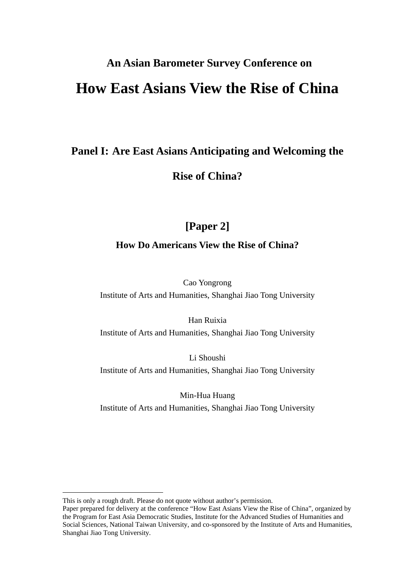# **An Asian Barometer Survey Conference on How East Asians View the Rise of China**

## **Panel I: Are East Asians Anticipating and Welcoming the**

## **Rise of China?**

# **[Paper 2]**

### **How Do Americans View the Rise of China?**

Cao Yongrong

Institute of Arts and Humanities, Shanghai Jiao Tong University

Han Ruixia Institute of Arts and Humanities, Shanghai Jiao Tong University

Li Shoushi Institute of Arts and Humanities, Shanghai Jiao Tong University

Min-Hua Huang

Institute of Arts and Humanities, Shanghai Jiao Tong University

This is only a rough draft. Please do not quote without author's permission.

Paper prepared for delivery at the conference "How East Asians View the Rise of China", organized by the Program for East Asia Democratic Studies, Institute for the Advanced Studies of Humanities and Social Sciences, National Taiwan University, and co-sponsored by the Institute of Arts and Humanities, Shanghai Jiao Tong University.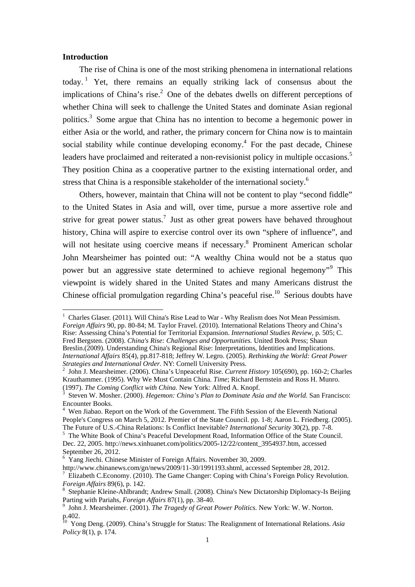#### **Introduction**

The rise of China is one of the most striking phenomena in international relations today.<sup>1</sup> Yet, there remains an equally striking lack of consensus about the implications of China's rise.<sup>2</sup> One of the debates dwells on different perceptions of whether China will seek to challenge the United States and dominate Asian regional politics.<sup>3</sup> Some argue that China has no intention to become a hegemonic power in either Asia or the world, and rather, the primary concern for China now is to maintain social stability while continue developing economy. $4$  For the past decade, Chinese leaders have proclaimed and reiterated a non-revisionist policy in multiple occasions.<sup>5</sup> They position China as a cooperative partner to the existing international order, and stress that China is a responsible stakeholder of the international society.<sup>6</sup>

Others, however, maintain that China will not be content to play "second fiddle" to the United States in Asia and will, over time, pursue a more assertive role and strive for great power status.<sup>7</sup> Just as other great powers have behaved throughout history, China will aspire to exercise control over its own "sphere of influence", and will not hesitate using coercive means if necessary.<sup>8</sup> Prominent American scholar John Mearsheimer has pointed out: "A wealthy China would not be a status quo power but an aggressive state determined to achieve regional hegemony"<sup>9</sup> This viewpoint is widely shared in the United States and many Americans distrust the Chinese official promulgation regarding China's peaceful rise.<sup>10</sup> Serious doubts have

 1 Charles Glaser. (2011). Will China's Rise Lead to War - Why Realism does Not Mean Pessimism. *Foreign Affairs* 90, pp. 80-84; M. Taylor Fravel. (2010). International Relations Theory and China's Rise: Assessing China's Potential for Territorial Expansion. *International Studies Review*, p. 505; C. Fred Bergsten. (2008). *China's Rise: Challenges and Opportunities.* United Book Press; Shaun Breslin.(2009). Understanding China's Regional Rise: Interpretations, Identities and Implications. *International Affairs* 85(4), pp.817-818; Jeffrey W. Legro. (2005). *Rethinking the World: Great Power Strategies and International Order*. NY: Cornell University Press. <sup>2</sup>

<sup>&</sup>lt;sup>2</sup> John J. Mearsheimer. (2006). China's Unpeaceful Rise. *Current History* 105(690), pp. 160-2; Charles Krauthammer. (1995). Why We Must Contain China. *Time*; Richard Bernstein and Ross H. Munro. (1997). *The Coming Conflict with China.* New York: Alfred A. Knopf. <sup>3</sup>

Steven W. Mosher. (2000). *Hegemon: China's Plan to Dominate Asia and the World.* San Francisco: Encounter Books.

<sup>&</sup>lt;sup>4</sup> Wen Jiabao. Report on the Work of the Government. The Fifth Session of the Eleventh National People's Congress on March 5, 2012. Premier of the State Council. pp. 1-8; Aaron L. Friedberg. (2005). The Future of U.S.-China Relations: Is Conflict Inevitable? *International Security* 30(2), pp. 7-8. 5

<sup>&</sup>lt;sup>5</sup> The White Book of China's Peaceful Development Road, Information Office of the State Council. Dec. 22, 2005. http://news.xinhuanet.com/politics/2005-12/22/content\_3954937.htm, accessed September 26, 2012.

<sup>&</sup>lt;sup>6</sup> Yang Jiechi. Chinese Minister of Foreign Affairs. November 30, 2009.

http://www.chinanews.com/gn/news/2009/11-30/1991193.shtml, accessed September 28, 2012.

 $\frac{7}{10}$  Elizabeth C.Economy. (2010). The Game Changer: Coping with China's Foreign Policy Revolution. *Foreign Affairs* 89(6), p. 142. <sup>8</sup>

<sup>&</sup>lt;sup>8</sup> Stephanie Kleine-Ahlbrandt; Andrew Small. (2008). China's New Dictatorship Diplomacy-Is Beijing Parting with Pariahs, *Foreign Affairs* 87(1), pp. 38-40.

<sup>&</sup>lt;sup>9</sup> John J. Mearsheimer. (2001). *The Tragedy of Great Power Politics*. New York: W. W. Norton. p.402.

<sup>10</sup> Yong Deng. (2009). China's Struggle for Status: The Realignment of International Relations. *Asia Policy* 8(1), p. 174.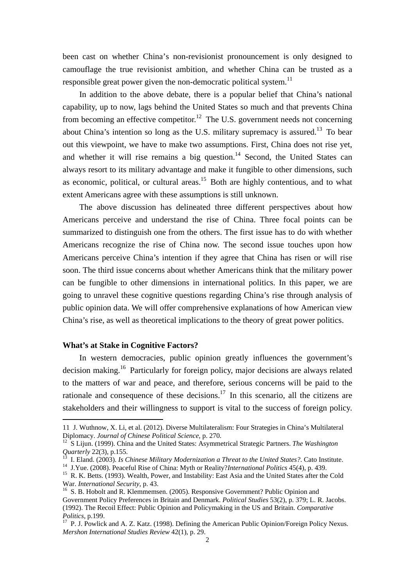been cast on whether China's non-revisionist pronouncement is only designed to camouflage the true revisionist ambition, and whether China can be trusted as a responsible great power given the non-democratic political system.<sup>11</sup>

 In addition to the above debate, there is a popular belief that China's national capability, up to now, lags behind the United States so much and that prevents China from becoming an effective competitor.<sup>12</sup> The U.S. government needs not concerning about China's intention so long as the U.S. military supremacy is assured.13 To bear out this viewpoint, we have to make two assumptions. First, China does not rise yet, and whether it will rise remains a big question.<sup>14</sup> Second, the United States can always resort to its military advantage and make it fungible to other dimensions, such as economic, political, or cultural areas.<sup>15</sup> Both are highly contentious, and to what extent Americans agree with these assumptions is still unknown.

The above discussion has delineated three different perspectives about how Americans perceive and understand the rise of China. Three focal points can be summarized to distinguish one from the others. The first issue has to do with whether Americans recognize the rise of China now. The second issue touches upon how Americans perceive China's intention if they agree that China has risen or will rise soon. The third issue concerns about whether Americans think that the military power can be fungible to other dimensions in international politics. In this paper, we are going to unravel these cognitive questions regarding China's rise through analysis of public opinion data. We will offer comprehensive explanations of how American view China's rise, as well as theoretical implications to the theory of great power politics.

#### **What's at Stake in Cognitive Factors?**

 In western democracies, public opinion greatly influences the government's decision making.16 Particularly for foreign policy, major decisions are always related to the matters of war and peace, and therefore, serious concerns will be paid to the rationale and consequence of these decisions.<sup>17</sup> In this scenario, all the citizens are stakeholders and their willingness to support is vital to the success of foreign policy.

<sup>11</sup> J. Wuthnow, X. Li, et al. (2012). Diverse Multilateralism: Four Strategies in China's Multilateral

Diplomacy. *Journal of Chinese Political Science*, p. 270.<br><sup>12</sup> S Lijun. (1999). China and the United States: Asymmetrical Strategic Partners. *The Washington Quarterly* 22(3), p.155.

<sup>&</sup>lt;sup>13</sup> I. Eland. (2003). *Is Chinese Military Modernization a Threat to the United States?*. Cato Institute.<br><sup>14</sup> J.Yue. (2008). Peaceful Rise of China: Myth or Reality?*International Politics* 45(4), p. 439.<br><sup>15</sup> R. K. Bet

<sup>&</sup>lt;sup>16</sup> S. B. Hobolt and R. Klemmemsen. (2005). Responsive Government? Public Opinion and Government Policy Preferences in Britain and Denmark. *Political Studies* 53(2), p. 379; L. R. Jacobs. (1992). The Recoil Effect: Public Opinion and Policymaking in the US and Britain. *Comparative Politics*, p.199.<br><sup>17</sup> P. J. Powlick and A. Z. Katz. (1998). Defining the American Public Opinion/Foreign Policy Nexus.

*Mershon International Studies Review* 42(1), p. 29.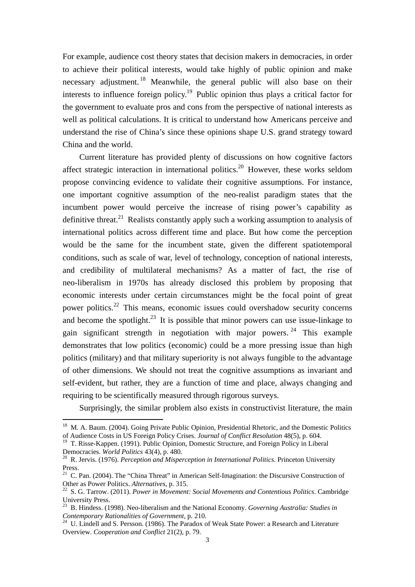For example, audience cost theory states that decision makers in democracies, in order to achieve their political interests, would take highly of public opinion and make necessary adjustment.<sup>18</sup> Meanwhile, the general public will also base on their interests to influence foreign policy.<sup>19</sup> Public opinion thus plays a critical factor for the government to evaluate pros and cons from the perspective of national interests as well as political calculations. It is critical to understand how Americans perceive and understand the rise of China's since these opinions shape U.S. grand strategy toward China and the world.

Current literature has provided plenty of discussions on how cognitive factors affect strategic interaction in international politics.<sup>20</sup> However, these works seldom propose convincing evidence to validate their cognitive assumptions. For instance, one important cognitive assumption of the neo-realist paradigm states that the incumbent power would perceive the increase of rising power's capability as definitive threat.<sup>21</sup> Realists constantly apply such a working assumption to analysis of international politics across different time and place. But how come the perception would be the same for the incumbent state, given the different spatiotemporal conditions, such as scale of war, level of technology, conception of national interests, and credibility of multilateral mechanisms? As a matter of fact, the rise of neo-liberalism in 1970s has already disclosed this problem by proposing that economic interests under certain circumstances might be the focal point of great power politics.22 This means, economic issues could overshadow security concerns and become the spotlight.<sup>23</sup> It is possible that minor powers can use issue-linkage to gain significant strength in negotiation with major powers. 24 This example demonstrates that low politics (economic) could be a more pressing issue than high politics (military) and that military superiority is not always fungible to the advantage of other dimensions. We should not treat the cognitive assumptions as invariant and self-evident, but rather, they are a function of time and place, always changing and requiring to be scientifically measured through rigorous surveys.

Surprisingly, the similar problem also exists in constructivist literature, the main

<sup>&</sup>lt;sup>18</sup> M. A. Baum. (2004). Going Private Public Opinion, Presidential Rhetoric, and the Domestic Politics of Audience Costs in US Foreign Policy Crises. *Journal of Conflict Resolution* 48(5), p. 604.

<sup>&</sup>lt;sup>19</sup> T. Risse-Kappen. (1991). Public Opinion, Domestic Structure, and Foreign Policy in Liberal Democracies. *World Politics* 43(4), p. 480.<br><sup>20</sup> R. Jervis. (1976). *Perception and Misperception in International Politics*. Princeton University

Press.

<sup>&</sup>lt;sup>21</sup> C. Pan. (2004). The "China Threat" in American Self-Imagination: the Discursive Construction of Other as Power Politics. *Alternatives*, p. 315.<br><sup>22</sup> S. G. Tarrow. (2011). *Power in Movement: Social Movements and Contentious Politics*. Cambridge

University Press.

<sup>&</sup>lt;sup>23</sup> B. Hindess. (1998). Neo-liberalism and the National Economy. *Governing Australia: Studies in Contemporary Rationalities of Government*. p. 210.

<sup>&</sup>lt;sup>24</sup> U. Lindell and S. Persson. (1986). The Paradox of Weak State Power: a Research and Literature Overview. *Cooperation and Conflict* 21(2), p. 79.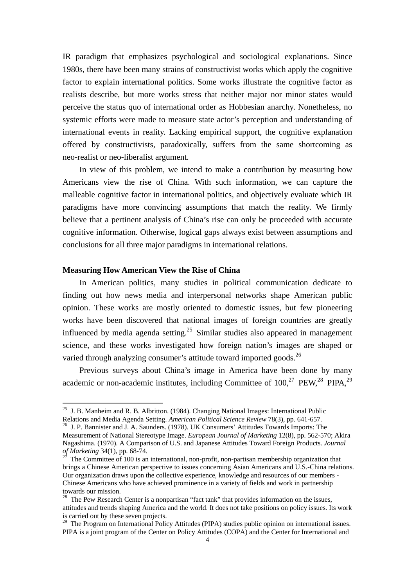IR paradigm that emphasizes psychological and sociological explanations. Since 1980s, there have been many strains of constructivist works which apply the cognitive factor to explain international politics. Some works illustrate the cognitive factor as realists describe, but more works stress that neither major nor minor states would perceive the status quo of international order as Hobbesian anarchy. Nonetheless, no systemic efforts were made to measure state actor's perception and understanding of international events in reality. Lacking empirical support, the cognitive explanation offered by constructivists, paradoxically, suffers from the same shortcoming as neo-realist or neo-liberalist argument.

In view of this problem, we intend to make a contribution by measuring how Americans view the rise of China. With such information, we can capture the malleable cognitive factor in international politics, and objectively evaluate which IR paradigms have more convincing assumptions that match the reality. We firmly believe that a pertinent analysis of China's rise can only be proceeded with accurate cognitive information. Otherwise, logical gaps always exist between assumptions and conclusions for all three major paradigms in international relations.

#### **Measuring How American View the Rise of China**

In American politics, many studies in political communication dedicate to finding out how news media and interpersonal networks shape American public opinion. These works are mostly oriented to domestic issues, but few pioneering works have been discovered that national images of foreign countries are greatly influenced by media agenda setting.<sup>25</sup> Similar studies also appeared in management science, and these works investigated how foreign nation's images are shaped or varied through analyzing consumer's attitude toward imported goods.<sup>26</sup>

 Previous surveys about China's image in America have been done by many academic or non-academic institutes, including Committee of  $100<sup>27</sup>$  PEW,<sup>28</sup> PIPA,<sup>29</sup>

<sup>&</sup>lt;sup>25</sup> J. B. Manheim and R. B. Albritton. (1984). Changing National Images: International Public Relations and Media Agenda Setting. *American Political Science Review* 78(3), pp. 641-657. 26 J. P. Bannister and J. A. Saunders. (1978). UK Consumers' Attitudes Towards Imports: The

Measurement of National Stereotype Image. *European Journal of Marketing* 12(8), pp. 562-570; Akira Nagashima. (1970). A Comparison of U.S. and Japanese Attitudes Toward Foreign Products. *Journal* of Marketing 34(1), pp. 68-74.

The Committee of 100 is an international, non-profit, non-partisan membership organization that brings a Chinese American perspective to issues concerning Asian Americans and U.S.-China relations. Our organization draws upon the collective experience, knowledge and resources of our members - Chinese Americans who have achieved prominence in a variety of fields and work in partnership towards our mission.

<sup>&</sup>lt;sup>28</sup> The Pew Research Center is a nonpartisan "fact tank" that provides information on the issues, attitudes and trends shaping America and the world. It does not take positions on policy issues. Its work is carried out by these seven projects.

<sup>&</sup>lt;sup>29</sup> The Program on International Policy Attitudes (PIPA) studies public opinion on international issues. PIPA is a joint program of the Center on Policy Attitudes (COPA) and the Center for International and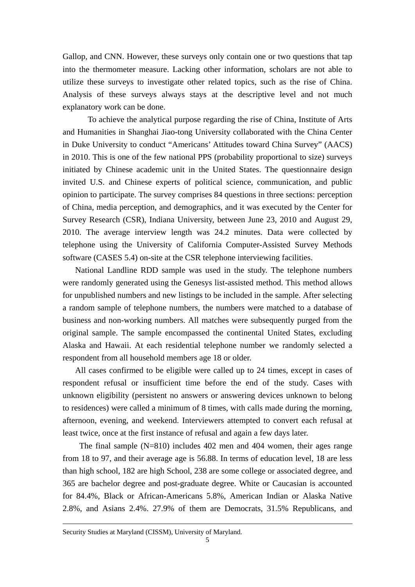Gallop, and CNN. However, these surveys only contain one or two questions that tap into the thermometer measure. Lacking other information, scholars are not able to utilize these surveys to investigate other related topics, such as the rise of China. Analysis of these surveys always stays at the descriptive level and not much explanatory work can be done.

 To achieve the analytical purpose regarding the rise of China, Institute of Arts and Humanities in Shanghai Jiao-tong University collaborated with the China Center in Duke University to conduct "Americans' Attitudes toward China Survey" (AACS) in 2010. This is one of the few national PPS (probability proportional to size) surveys initiated by Chinese academic unit in the United States. The questionnaire design invited U.S. and Chinese experts of political science, communication, and public opinion to participate. The survey comprises 84 questions in three sections: perception of China, media perception, and demographics, and it was executed by the Center for Survey Research (CSR), Indiana University, between June 23, 2010 and August 29, 2010. The average interview length was 24.2 minutes. Data were collected by telephone using the University of California Computer-Assisted Survey Methods software (CASES 5.4) on-site at the CSR telephone interviewing facilities.

 National Landline RDD sample was used in the study. The telephone numbers were randomly generated using the Genesys list-assisted method. This method allows for unpublished numbers and new listings to be included in the sample. After selecting a random sample of telephone numbers, the numbers were matched to a database of business and non-working numbers. All matches were subsequently purged from the original sample. The sample encompassed the continental United States, excluding Alaska and Hawaii. At each residential telephone number we randomly selected a respondent from all household members age 18 or older.

 All cases confirmed to be eligible were called up to 24 times, except in cases of respondent refusal or insufficient time before the end of the study. Cases with unknown eligibility (persistent no answers or answering devices unknown to belong to residences) were called a minimum of 8 times, with calls made during the morning, afternoon, evening, and weekend. Interviewers attempted to convert each refusal at least twice, once at the first instance of refusal and again a few days later.

The final sample (N=810) includes 402 men and 404 women, their ages range from 18 to 97, and their average age is 56.88. In terms of education level, 18 are less than high school, 182 are high School, 238 are some college or associated degree, and 365 are bachelor degree and post-graduate degree. White or Caucasian is accounted for 84.4%, Black or African-Americans 5.8%, American Indian or Alaska Native 2.8%, and Asians 2.4%. 27.9% of them are Democrats, 31.5% Republicans, and

<u> Andreas Andreas Andreas Andreas Andreas Andreas Andreas Andreas Andreas Andreas Andreas Andreas Andreas Andr</u>

Security Studies at Maryland (CISSM), University of Maryland.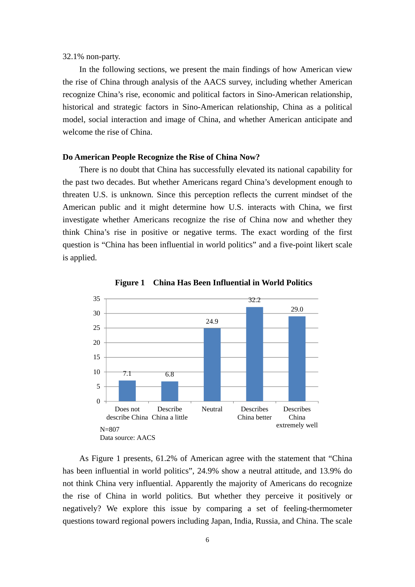32.1% non-party.

In the following sections, we present the main findings of how American view the rise of China through analysis of the AACS survey, including whether American recognize China's rise, economic and political factors in Sino-American relationship, historical and strategic factors in Sino-American relationship, China as a political model, social interaction and image of China, and whether American anticipate and welcome the rise of China.

#### **Do American People Recognize the Rise of China Now?**

There is no doubt that China has successfully elevated its national capability for the past two decades. But whether Americans regard China's development enough to threaten U.S. is unknown. Since this perception reflects the current mindset of the American public and it might determine how U.S. interacts with China, we first investigate whether Americans recognize the rise of China now and whether they think China's rise in positive or negative terms. The exact wording of the first question is "China has been influential in world politics" and a five-point likert scale is applied.



**Figure 1 China Has Been Influential in World Politics** 

As Figure 1 presents, 61.2% of American agree with the statement that "China has been influential in world politics", 24.9% show a neutral attitude, and 13.9% do not think China very influential. Apparently the majority of Americans do recognize the rise of China in world politics. But whether they perceive it positively or negatively? We explore this issue by comparing a set of feeling-thermometer questions toward regional powers including Japan, India, Russia, and China. The scale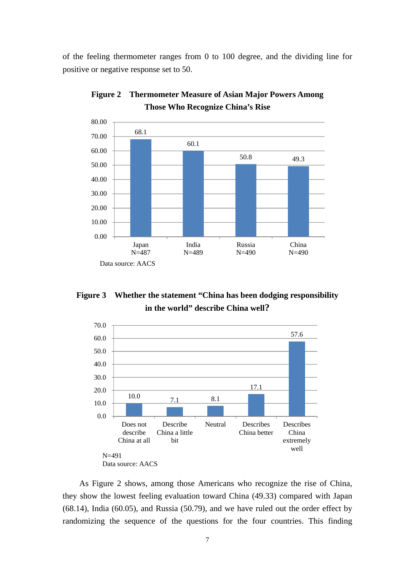of the feeling thermometer ranges from 0 to 100 degree, and the dividing line for positive or negative response set to 50.



**Figure 2 Thermometer Measure of Asian Major Powers Among Those Who Recognize China's Rise**

**Figure 3 Whether the statement "China has been dodging responsibility in the world" describe China well?** 



As Figure 2 shows, among those Americans who recognize the rise of China, they show the lowest feeling evaluation toward China (49.33) compared with Japan (68.14), India (60.05), and Russia (50.79), and we have ruled out the order effect by randomizing the sequence of the questions for the four countries. This finding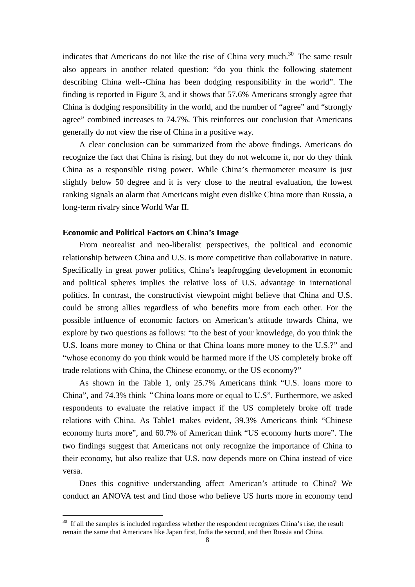indicates that Americans do not like the rise of China very much.<sup>30</sup> The same result also appears in another related question: "do you think the following statement describing China well--China has been dodging responsibility in the world". The finding is reported in Figure 3, and it shows that 57.6% Americans strongly agree that China is dodging responsibility in the world, and the number of "agree" and "strongly agree" combined increases to 74.7%. This reinforces our conclusion that Americans generally do not view the rise of China in a positive way.

A clear conclusion can be summarized from the above findings. Americans do recognize the fact that China is rising, but they do not welcome it, nor do they think China as a responsible rising power. While China's thermometer measure is just slightly below 50 degree and it is very close to the neutral evaluation, the lowest ranking signals an alarm that Americans might even dislike China more than Russia, a long-term rivalry since World War II.

#### **Economic and Political Factors on China's Image**

From neorealist and neo-liberalist perspectives, the political and economic relationship between China and U.S. is more competitive than collaborative in nature. Specifically in great power politics, China's leapfrogging development in economic and political spheres implies the relative loss of U.S. advantage in international politics. In contrast, the constructivist viewpoint might believe that China and U.S. could be strong allies regardless of who benefits more from each other. For the possible influence of economic factors on American's attitude towards China, we explore by two questions as follows: "to the best of your knowledge, do you think the U.S. loans more money to China or that China loans more money to the U.S.?" and "whose economy do you think would be harmed more if the US completely broke off trade relations with China, the Chinese economy, or the US economy?"

As shown in the Table 1, only 25.7% Americans think "U.S. loans more to China", and 74.3% think"China loans more or equal to U.S". Furthermore, we asked respondents to evaluate the relative impact if the US completely broke off trade relations with China. As Table1 makes evident, 39.3% Americans think "Chinese economy hurts more", and 60.7% of American think "US economy hurts more". The two findings suggest that Americans not only recognize the importance of China to their economy, but also realize that U.S. now depends more on China instead of vice versa.

Does this cognitive understanding affect American's attitude to China? We conduct an ANOVA test and find those who believe US hurts more in economy tend

<sup>&</sup>lt;sup>30</sup> If all the samples is included regardless whether the respondent recognizes China's rise, the result remain the same that Americans like Japan first, India the second, and then Russia and China.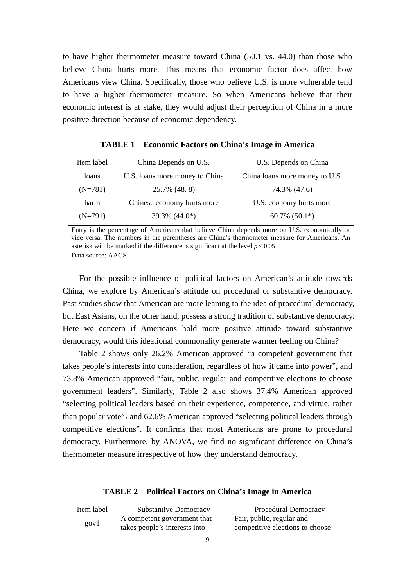to have higher thermometer measure toward China (50.1 vs. 44.0) than those who believe China hurts more. This means that economic factor does affect how Americans view China. Specifically, those who believe U.S. is more vulnerable tend to have a higher thermometer measure. So when Americans believe that their economic interest is at stake, they would adjust their perception of China in a more positive direction because of economic dependency.

| Item label | China Depends on U.S.          | U.S. Depends on China          |  |  |
|------------|--------------------------------|--------------------------------|--|--|
| loans      | U.S. loans more money to China | China loans more money to U.S. |  |  |
| $(N=781)$  | 25.7% (48.8)                   | 74.3% (47.6)                   |  |  |
| harm       | Chinese economy hurts more     | U.S. economy hurts more        |  |  |
| $(N=791)$  | $39.3\%$ (44.0*)               | $60.7\%$ $(50.1*)$             |  |  |

**TABLE 1 Economic Factors on China's Image in America**

Entry is the percentage of Americans that believe China depends more on U.S. economically or vice versa. The numbers in the parentheses are China's thermometer measure for Americans. An asterisk will be marked if the difference is significant at the level  $p \le 0.05$ . Data source: AACS

For the possible influence of political factors on American's attitude towards China, we explore by American's attitude on procedural or substantive democracy. Past studies show that American are more leaning to the idea of procedural democracy, but East Asians, on the other hand, possess a strong tradition of substantive democracy. Here we concern if Americans hold more positive attitude toward substantive democracy, would this ideational commonality generate warmer feeling on China?

Table 2 shows only 26.2% American approved "a competent government that takes people's interests into consideration, regardless of how it came into power", and 73.8% American approved "fair, public, regular and competitive elections to choose government leaders". Similarly, Table 2 also shows 37.4% American approved "selecting political leaders based on their experience, competence, and virtue, rather than popular vote", and 62.6% American approved "selecting political leaders through competitive elections". It confirms that most Americans are prone to procedural democracy. Furthermore, by ANOVA, we find no significant difference on China's thermometer measure irrespective of how they understand democracy.

**TABLE 2 Political Factors on China's Image in America**

| Item label | <b>Substantive Democracy</b>  | Procedural Democracy            |
|------------|-------------------------------|---------------------------------|
| govl       | A competent government that   | Fair, public, regular and       |
|            | takes people's interests into | competitive elections to choose |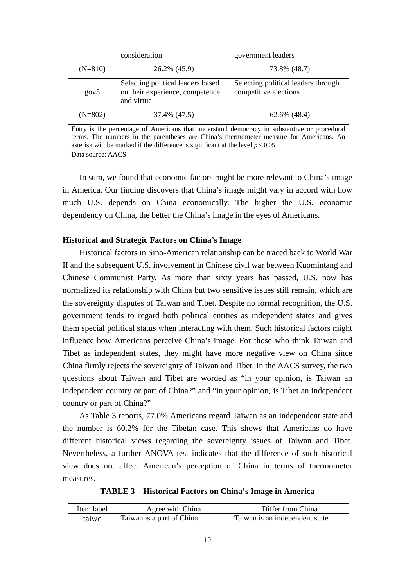|           | consideration                                                                       | government leaders                                           |  |  |
|-----------|-------------------------------------------------------------------------------------|--------------------------------------------------------------|--|--|
| $(N=810)$ | 26.2% (45.9)                                                                        | 73.8% (48.7)                                                 |  |  |
| gov5      | Selecting political leaders based<br>on their experience, competence,<br>and virtue | Selecting political leaders through<br>competitive elections |  |  |
| $(N=802)$ | 37.4% (47.5)                                                                        | 62.6% (48.4)                                                 |  |  |

Entry is the percentage of Americans that understand democracy in substantive or procedural terms. The numbers in the parentheses are China's thermometer measure for Americans. An asterisk will be marked if the difference is significant at the level  $p \le 0.05$ . Data source: AACS

In sum, we found that economic factors might be more relevant to China's image in America. Our finding discovers that China's image might vary in accord with how much U.S. depends on China economically. The higher the U.S. economic dependency on China, the better the China's image in the eyes of Americans.

#### **Historical and Strategic Factors on China's Image**

Historical factors in Sino-American relationship can be traced back to World War II and the subsequent U.S. involvement in Chinese civil war between Kuomintang and Chinese Communist Party. As more than sixty years has passed, U.S. now has normalized its relationship with China but two sensitive issues still remain, which are the sovereignty disputes of Taiwan and Tibet. Despite no formal recognition, the U.S. government tends to regard both political entities as independent states and gives them special political status when interacting with them. Such historical factors might influence how Americans perceive China's image. For those who think Taiwan and Tibet as independent states, they might have more negative view on China since China firmly rejects the sovereignty of Taiwan and Tibet. In the AACS survey, the two questions about Taiwan and Tibet are worded as "in your opinion, is Taiwan an independent country or part of China?" and "in your opinion, is Tibet an independent country or part of China?"

As Table 3 reports, 77.0% Americans regard Taiwan as an independent state and the number is 60.2% for the Tibetan case. This shows that Americans do have different historical views regarding the sovereignty issues of Taiwan and Tibet. Nevertheless, a further ANOVA test indicates that the difference of such historical view does not affect American's perception of China in terms of thermometer measures.

**TABLE 3 Historical Factors on China's Image in America**

| Item label | Agree with China          | Differ from China              |
|------------|---------------------------|--------------------------------|
| taiwc      | Taiwan is a part of China | Taiwan is an independent state |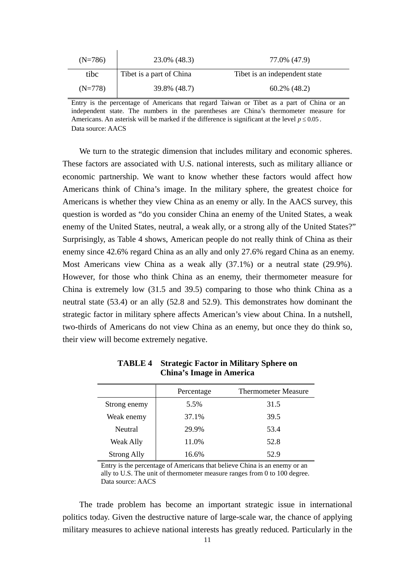| $(N=786)$ | 23.0% (48.3)             | 77.0% (47.9)                  |
|-----------|--------------------------|-------------------------------|
| tibc      | Tibet is a part of China | Tibet is an independent state |
| (N=778)   | 39.8% (48.7)             | $60.2\%$ (48.2)               |

Entry is the percentage of Americans that regard Taiwan or Tibet as a part of China or an independent state. The numbers in the parentheses are China's thermometer measure for Americans. An asterisk will be marked if the difference is significant at the level  $p \le 0.05$ . Data source: AACS

We turn to the strategic dimension that includes military and economic spheres. These factors are associated with U.S. national interests, such as military alliance or economic partnership. We want to know whether these factors would affect how Americans think of China's image. In the military sphere, the greatest choice for Americans is whether they view China as an enemy or ally. In the AACS survey, this question is worded as "do you consider China an enemy of the United States, a weak enemy of the United States, neutral, a weak ally, or a strong ally of the United States?" Surprisingly, as Table 4 shows, American people do not really think of China as their enemy since 42.6% regard China as an ally and only 27.6% regard China as an enemy. Most Americans view China as a weak ally (37.1%) or a neutral state (29.9%). However, for those who think China as an enemy, their thermometer measure for China is extremely low (31.5 and 39.5) comparing to those who think China as a neutral state (53.4) or an ally (52.8 and 52.9). This demonstrates how dominant the strategic factor in military sphere affects American's view about China. In a nutshell, two-thirds of Americans do not view China as an enemy, but once they do think so, their view will become extremely negative.

|                    | Percentage | <b>Thermometer Measure</b> |
|--------------------|------------|----------------------------|
| Strong enemy       | 5.5%       | 31.5                       |
| Weak enemy         | 37.1%      | 39.5                       |
| <b>Neutral</b>     | 29.9%      | 53.4                       |
| <b>Weak Ally</b>   | 11.0%      | 52.8                       |
| <b>Strong Ally</b> | 16.6%      | 52.9                       |

**TABLE 4 Strategic Factor in Military Sphere on China's Image in America**

Entry is the percentage of Americans that believe China is an enemy or an ally to U.S. The unit of thermometer measure ranges from 0 to 100 degree. Data source: AACS

The trade problem has become an important strategic issue in international politics today. Given the destructive nature of large-scale war, the chance of applying military measures to achieve national interests has greatly reduced. Particularly in the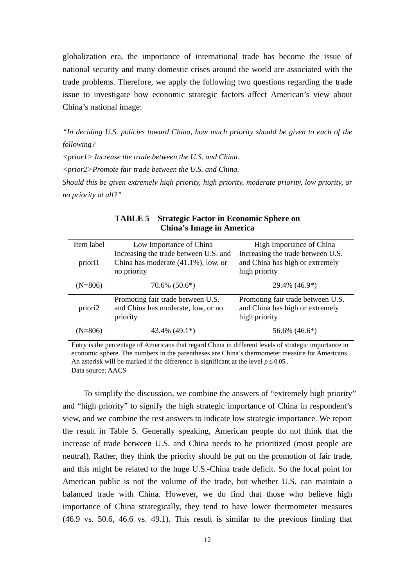globalization era, the importance of international trade has become the issue of national security and many domestic crises around the world are associated with the trade problems. Therefore, we apply the following two questions regarding the trade issue to investigate how economic strategic factors affect American's view about China's national image:

*"In deciding U.S. policies toward China, how much priority should be given to each of the following?* 

*<prior1> Increase the trade between the U.S. and China.* 

*<prior2>Promote fair trade between the U.S. and China.* 

*Should this be given extremely high priority, high priority, moderate priority, low priority, or no priority at all?"* 

| Item label | Low Importance of China                                                                         | High Importance of China                                                              |  |
|------------|-------------------------------------------------------------------------------------------------|---------------------------------------------------------------------------------------|--|
| priori1    | Increasing the trade between U.S. and<br>China has moderate $(41.1\%)$ , low, or<br>no priority | Increasing the trade between U.S.<br>and China has high or extremely<br>high priority |  |
| $(N=806)$  | $70.6\%$ $(50.6^*)$                                                                             | 29.4% (46.9*)                                                                         |  |
| priori2    | Promoting fair trade between U.S.<br>and China has moderate, low, or no<br>priority             | Promoting fair trade between U.S.<br>and China has high or extremely<br>high priority |  |
| (N=806)    | 43.4% $(49.1^*)$                                                                                | 56.6% (46.6*)                                                                         |  |

**TABLE 5 Strategic Factor in Economic Sphere on China's Image in America**

Entry is the percentage of Americans that regard China in different levels of strategic importance in economic sphere. The numbers in the parentheses are China's thermometer measure for Americans. An asterisk will be marked if the difference is significant at the level  $p \le 0.05$ . Data source: AACS

To simplify the discussion, we combine the answers of "extremely high priority" and "high priority" to signify the high strategic importance of China in respondent's view, and we combine the rest answers to indicate low strategic importance. We report the result in Table 5. Generally speaking, American people do not think that the increase of trade between U.S. and China needs to be prioritized (most people are neutral). Rather, they think the priority should be put on the promotion of fair trade, and this might be related to the huge U.S.-China trade deficit. So the focal point for American public is not the volume of the trade, but whether U.S. can maintain a balanced trade with China. However, we do find that those who believe high importance of China strategically, they tend to have lower thermometer measures (46.9 vs. 50.6, 46.6 vs. 49.1). This result is similar to the previous finding that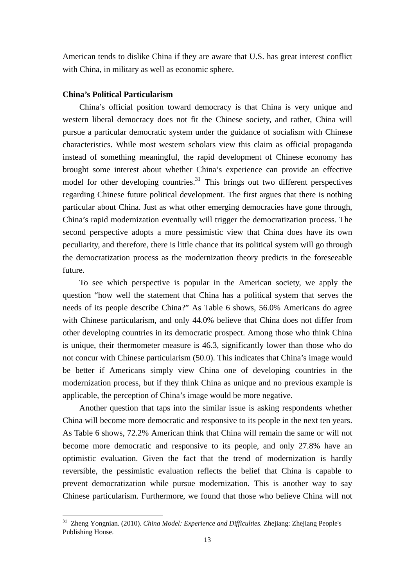American tends to dislike China if they are aware that U.S. has great interest conflict with China, in military as well as economic sphere.

#### **China's Political Particularism**

China's official position toward democracy is that China is very unique and western liberal democracy does not fit the Chinese society, and rather, China will pursue a particular democratic system under the guidance of socialism with Chinese characteristics. While most western scholars view this claim as official propaganda instead of something meaningful, the rapid development of Chinese economy has brought some interest about whether China's experience can provide an effective model for other developing countries.<sup>31</sup> This brings out two different perspectives regarding Chinese future political development. The first argues that there is nothing particular about China. Just as what other emerging democracies have gone through, China's rapid modernization eventually will trigger the democratization process. The second perspective adopts a more pessimistic view that China does have its own peculiarity, and therefore, there is little chance that its political system will go through the democratization process as the modernization theory predicts in the foreseeable future.

To see which perspective is popular in the American society, we apply the question "how well the statement that China has a political system that serves the needs of its people describe China?" As Table 6 shows, 56.0% Americans do agree with Chinese particularism, and only 44.0% believe that China does not differ from other developing countries in its democratic prospect. Among those who think China is unique, their thermometer measure is 46.3, significantly lower than those who do not concur with Chinese particularism (50.0). This indicates that China's image would be better if Americans simply view China one of developing countries in the modernization process, but if they think China as unique and no previous example is applicable, the perception of China's image would be more negative.

Another question that taps into the similar issue is asking respondents whether China will become more democratic and responsive to its people in the next ten years. As Table 6 shows, 72.2% American think that China will remain the same or will not become more democratic and responsive to its people, and only 27.8% have an optimistic evaluation. Given the fact that the trend of modernization is hardly reversible, the pessimistic evaluation reflects the belief that China is capable to prevent democratization while pursue modernization. This is another way to say Chinese particularism. Furthermore, we found that those who believe China will not

<sup>31</sup> Zheng Yongnian. (2010). *China Model: Experience and Difficulties.* Zhejiang: Zhejiang People's Publishing House.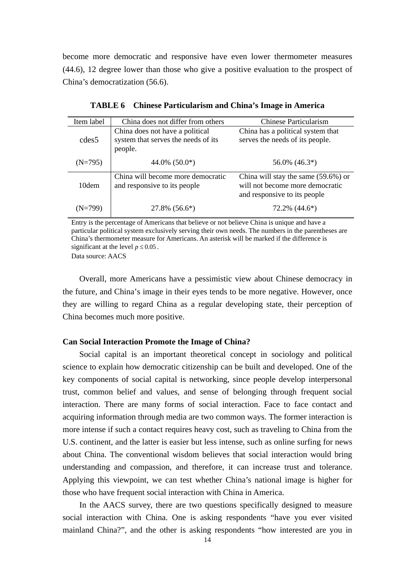become more democratic and responsive have even lower thermometer measures (44.6), 12 degree lower than those who give a positive evaluation to the prospect of China's democratization (56.6).

| Item label        | China does not differ from others                                                 | Chinese Particularism                                                                                  |  |  |
|-------------------|-----------------------------------------------------------------------------------|--------------------------------------------------------------------------------------------------------|--|--|
| cdes <sub>5</sub> | China does not have a political<br>system that serves the needs of its<br>people. | China has a political system that<br>serves the needs of its people.                                   |  |  |
| $(N=795)$         | 44.0% $(50.0^*)$                                                                  | 56.0% $(46.3^*)$                                                                                       |  |  |
| 10 <sub>dem</sub> | China will become more democratic<br>and responsive to its people                 | China will stay the same (59.6%) or<br>will not become more democratic<br>and responsive to its people |  |  |
| 'N=799)           | $27.8\%$ $(56.6^*)$                                                               | 72.2% (44.6*)                                                                                          |  |  |

**TABLE 6 Chinese Particularism and China's Image in America**

Entry is the percentage of Americans that believe or not believe China is unique and have a particular political system exclusively serving their own needs. The numbers in the parentheses are China's thermometer measure for Americans. An asterisk will be marked if the difference is significant at the level  $p \le 0.05$ .

Data source: AACS

Overall, more Americans have a pessimistic view about Chinese democracy in the future, and China's image in their eyes tends to be more negative. However, once they are willing to regard China as a regular developing state, their perception of China becomes much more positive.

#### **Can Social Interaction Promote the Image of China?**

Social capital is an important theoretical concept in sociology and political science to explain how democratic citizenship can be built and developed. One of the key components of social capital is networking, since people develop interpersonal trust, common belief and values, and sense of belonging through frequent social interaction. There are many forms of social interaction. Face to face contact and acquiring information through media are two common ways. The former interaction is more intense if such a contact requires heavy cost, such as traveling to China from the U.S. continent, and the latter is easier but less intense, such as online surfing for news about China. The conventional wisdom believes that social interaction would bring understanding and compassion, and therefore, it can increase trust and tolerance. Applying this viewpoint, we can test whether China's national image is higher for those who have frequent social interaction with China in America.

In the AACS survey, there are two questions specifically designed to measure social interaction with China. One is asking respondents "have you ever visited mainland China?", and the other is asking respondents "how interested are you in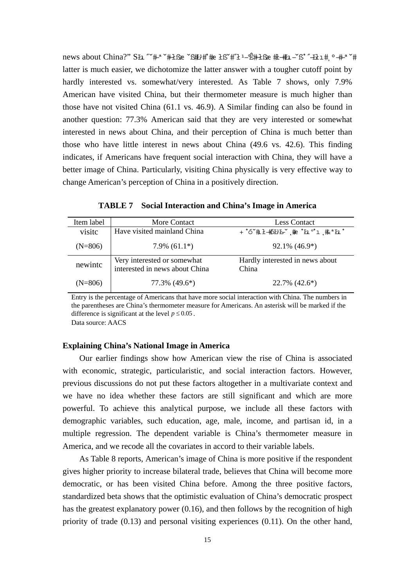news about China?" SŁ "ˇ#-ª ˇ#+f& ˇß#ユ#゚#e łßˇ#˝ł --Ê#+ł& #t-#i -ˇß˚ ˝-եł ı # º -# ª ˇ# latter is much easier, we dichotomize the latter answer with a tougher cutoff point by hardly interested vs. somewhat/very interested. As Table 7 shows, only 7.9% American have visited China, but their thermometer measure is much higher than those have not visited China (61.1 vs. 46.9). A Similar finding can also be found in another question: 77.3% American said that they are very interested or somewhat interested in news about China, and their perception of China is much better than those who have little interest in news about China (49.6 vs. 42.6). This finding indicates, if Americans have frequent social interaction with China, they will have a better image of China. Particularly, visiting China physically is very effective way to change American's perception of China in a positively direction.

| Item label | More Contact                                                  | <b>Less Contact</b>                      |  |  |
|------------|---------------------------------------------------------------|------------------------------------------|--|--|
| visite     | Have visited mainland China                                   | + °óˇ#ł_#ółłł~` į #e °łı ĵ #e łł °       |  |  |
| $(N=806)$  | $7.9\%$ (61.1 <sup>*</sup> )                                  | $92.1\%$ (46.9 <sup>*</sup> )            |  |  |
| newintc    | Very interested or somewhat<br>interested in news about China | Hardly interested in news about<br>China |  |  |
| $(N=806)$  | 77.3% (49.6*)                                                 | $22.7\%$ (42.6 <sup>*</sup> )            |  |  |

**TABLE 7 Social Interaction and China's Image in America**

Entry is the percentage of Americans that have more social interaction with China. The numbers in the parentheses are China's thermometer measure for Americans. An asterisk will be marked if the difference is significant at the level  $p \le 0.05$ .

Data source: AACS

#### **Explaining China's National Image in America**

Our earlier findings show how American view the rise of China is associated with economic, strategic, particularistic, and social interaction factors. However, previous discussions do not put these factors altogether in a multivariate context and we have no idea whether these factors are still significant and which are more powerful. To achieve this analytical purpose, we include all these factors with demographic variables, such education, age, male, income, and partisan id, in a multiple regression. The dependent variable is China's thermometer measure in America, and we recode all the covariates in accord to their variable labels.

 As Table 8 reports, American's image of China is more positive if the respondent gives higher priority to increase bilateral trade, believes that China will become more democratic, or has been visited China before. Among the three positive factors, standardized beta shows that the optimistic evaluation of China's democratic prospect has the greatest explanatory power (0.16), and then follows by the recognition of high priority of trade (0.13) and personal visiting experiences (0.11). On the other hand,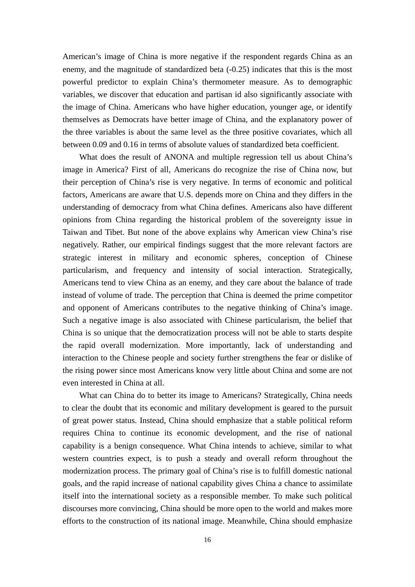American's image of China is more negative if the respondent regards China as an enemy, and the magnitude of standardized beta (-0.25) indicates that this is the most powerful predictor to explain China's thermometer measure. As to demographic variables, we discover that education and partisan id also significantly associate with the image of China. Americans who have higher education, younger age, or identify themselves as Democrats have better image of China, and the explanatory power of the three variables is about the same level as the three positive covariates, which all between 0.09 and 0.16 in terms of absolute values of standardized beta coefficient.

What does the result of ANONA and multiple regression tell us about China's image in America? First of all, Americans do recognize the rise of China now, but their perception of China's rise is very negative. In terms of economic and political factors, Americans are aware that U.S. depends more on China and they differs in the understanding of democracy from what China defines. Americans also have different opinions from China regarding the historical problem of the sovereignty issue in Taiwan and Tibet. But none of the above explains why American view China's rise negatively. Rather, our empirical findings suggest that the more relevant factors are strategic interest in military and economic spheres, conception of Chinese particularism, and frequency and intensity of social interaction. Strategically, Americans tend to view China as an enemy, and they care about the balance of trade instead of volume of trade. The perception that China is deemed the prime competitor and opponent of Americans contributes to the negative thinking of China's image. Such a negative image is also associated with Chinese particularism, the belief that China is so unique that the democratization process will not be able to starts despite the rapid overall modernization. More importantly, lack of understanding and interaction to the Chinese people and society further strengthens the fear or dislike of the rising power since most Americans know very little about China and some are not even interested in China at all.

What can China do to better its image to Americans? Strategically, China needs to clear the doubt that its economic and military development is geared to the pursuit of great power status. Instead, China should emphasize that a stable political reform requires China to continue its economic development, and the rise of national capability is a benign consequence. What China intends to achieve, similar to what western countries expect, is to push a steady and overall reform throughout the modernization process. The primary goal of China's rise is to fulfill domestic national goals, and the rapid increase of national capability gives China a chance to assimilate itself into the international society as a responsible member. To make such political discourses more convincing, China should be more open to the world and makes more efforts to the construction of its national image. Meanwhile, China should emphasize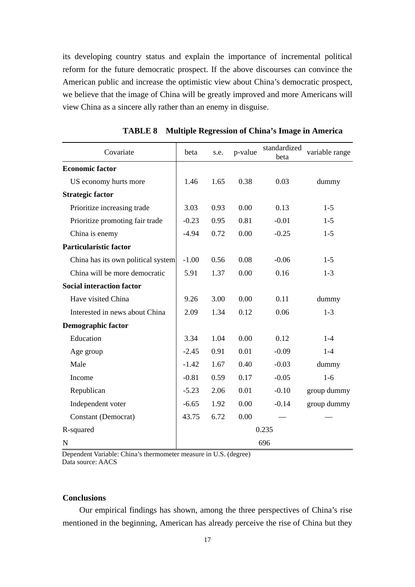its developing country status and explain the importance of incremental political reform for the future democratic prospect. If the above discourses can convince the American public and increase the optimistic view about China's democratic prospect, we believe that the image of China will be greatly improved and more Americans will view China as a sincere ally rather than an enemy in disguise.

| Covariate                          | beta    | s.e. | p-value | standardized<br>beta | variable range |
|------------------------------------|---------|------|---------|----------------------|----------------|
| <b>Economic factor</b>             |         |      |         |                      |                |
| US economy hurts more              | 1.46    | 1.65 | 0.38    | 0.03                 | dummy          |
| <b>Strategic factor</b>            |         |      |         |                      |                |
| Prioritize increasing trade        | 3.03    | 0.93 | 0.00    | 0.13                 | $1-5$          |
| Prioritize promoting fair trade    | $-0.23$ | 0.95 | 0.81    | $-0.01$              | $1-5$          |
| China is enemy                     | $-4.94$ | 0.72 | 0.00    | $-0.25$              | $1 - 5$        |
| <b>Particularistic factor</b>      |         |      |         |                      |                |
| China has its own political system | $-1.00$ | 0.56 | 0.08    | $-0.06$              | $1-5$          |
| China will be more democratic      | 5.91    | 1.37 | 0.00    | 0.16                 | $1 - 3$        |
| <b>Social interaction factor</b>   |         |      |         |                      |                |
| Have visited China                 | 9.26    | 3.00 | 0.00    | 0.11                 | dummy          |
| Interested in news about China     | 2.09    | 1.34 | 0.12    | 0.06                 | $1 - 3$        |
| <b>Demographic factor</b>          |         |      |         |                      |                |
| Education                          | 3.34    | 1.04 | 0.00    | 0.12                 | $1 - 4$        |
| Age group                          | $-2.45$ | 0.91 | 0.01    | $-0.09$              | $1 - 4$        |
| Male                               | $-1.42$ | 1.67 | 0.40    | $-0.03$              | dummy          |
| Income                             | $-0.81$ | 0.59 | 0.17    | $-0.05$              | $1-6$          |
| Republican                         | $-5.23$ | 2.06 | 0.01    | $-0.10$              | group dummy    |
| Independent voter                  | $-6.65$ | 1.92 | 0.00    | $-0.14$              | group dummy    |
| Constant (Democrat)                | 43.75   | 6.72 | 0.00    |                      |                |
| R-squared                          |         |      |         | 0.235                |                |
| $\mathbf N$                        |         |      |         | 696                  |                |

 **TABLE 8 Multiple Regression of China's Image in America** 

Dependent Variable: China's thermometer measure in U.S. (degree) Data source: AACS

#### **Conclusions**

Our empirical findings has shown, among the three perspectives of China's rise mentioned in the beginning, American has already perceive the rise of China but they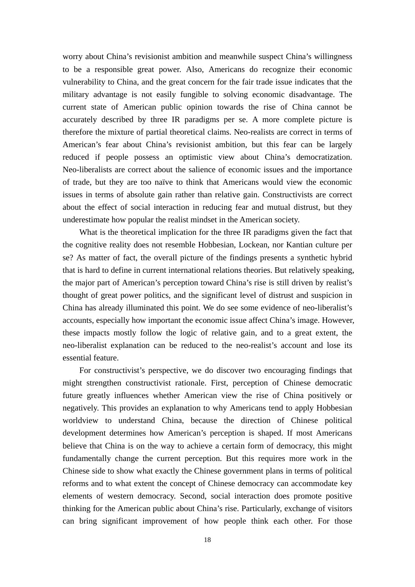worry about China's revisionist ambition and meanwhile suspect China's willingness to be a responsible great power. Also, Americans do recognize their economic vulnerability to China, and the great concern for the fair trade issue indicates that the military advantage is not easily fungible to solving economic disadvantage. The current state of American public opinion towards the rise of China cannot be accurately described by three IR paradigms per se. A more complete picture is therefore the mixture of partial theoretical claims. Neo-realists are correct in terms of American's fear about China's revisionist ambition, but this fear can be largely reduced if people possess an optimistic view about China's democratization. Neo-liberalists are correct about the salience of economic issues and the importance of trade, but they are too naïve to think that Americans would view the economic issues in terms of absolute gain rather than relative gain. Constructivists are correct about the effect of social interaction in reducing fear and mutual distrust, but they underestimate how popular the realist mindset in the American society.

What is the theoretical implication for the three IR paradigms given the fact that the cognitive reality does not resemble Hobbesian, Lockean, nor Kantian culture per se? As matter of fact, the overall picture of the findings presents a synthetic hybrid that is hard to define in current international relations theories. But relatively speaking, the major part of American's perception toward China's rise is still driven by realist's thought of great power politics, and the significant level of distrust and suspicion in China has already illuminated this point. We do see some evidence of neo-liberalist's accounts, especially how important the economic issue affect China's image. However, these impacts mostly follow the logic of relative gain, and to a great extent, the neo-liberalist explanation can be reduced to the neo-realist's account and lose its essential feature.

For constructivist's perspective, we do discover two encouraging findings that might strengthen constructivist rationale. First, perception of Chinese democratic future greatly influences whether American view the rise of China positively or negatively. This provides an explanation to why Americans tend to apply Hobbesian worldview to understand China, because the direction of Chinese political development determines how American's perception is shaped. If most Americans believe that China is on the way to achieve a certain form of democracy, this might fundamentally change the current perception. But this requires more work in the Chinese side to show what exactly the Chinese government plans in terms of political reforms and to what extent the concept of Chinese democracy can accommodate key elements of western democracy. Second, social interaction does promote positive thinking for the American public about China's rise. Particularly, exchange of visitors can bring significant improvement of how people think each other. For those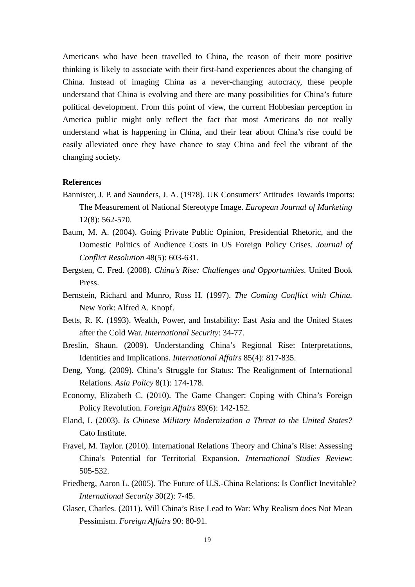Americans who have been travelled to China, the reason of their more positive thinking is likely to associate with their first-hand experiences about the changing of China. Instead of imaging China as a never-changing autocracy, these people understand that China is evolving and there are many possibilities for China's future political development. From this point of view, the current Hobbesian perception in America public might only reflect the fact that most Americans do not really understand what is happening in China, and their fear about China's rise could be easily alleviated once they have chance to stay China and feel the vibrant of the changing society.

#### **References**

- Bannister, J. P. and Saunders, J. A. (1978). UK Consumers' Attitudes Towards Imports: The Measurement of National Stereotype Image. *European Journal of Marketing* 12(8): 562-570.
- Baum, M. A. (2004). Going Private Public Opinion, Presidential Rhetoric, and the Domestic Politics of Audience Costs in US Foreign Policy Crises. *Journal of Conflict Resolution* 48(5): 603-631.
- Bergsten, C. Fred. (2008). *China's Rise: Challenges and Opportunities.* United Book Press.
- Bernstein, Richard and Munro, Ross H. (1997). *The Coming Conflict with China.*  New York: Alfred A. Knopf.
- Betts, R. K. (1993). Wealth, Power, and Instability: East Asia and the United States after the Cold War. *International Security*: 34-77.
- Breslin, Shaun. (2009). Understanding China's Regional Rise: Interpretations, Identities and Implications. *International Affairs* 85(4): 817-835.
- Deng, Yong. (2009). China's Struggle for Status: The Realignment of International Relations. *Asia Policy* 8(1): 174-178.
- Economy, Elizabeth C. (2010). The Game Changer: Coping with China's Foreign Policy Revolution. *Foreign Affairs* 89(6): 142-152.
- Eland, I. (2003). *Is Chinese Military Modernization a Threat to the United States?* Cato Institute.
- Fravel, M. Taylor. (2010). International Relations Theory and China's Rise: Assessing China's Potential for Territorial Expansion. *International Studies Review*: 505-532.
- Friedberg, Aaron L. (2005). The Future of U.S.-China Relations: Is Conflict Inevitable? *International Security* 30(2): 7-45.
- Glaser, Charles. (2011). Will China's Rise Lead to War: Why Realism does Not Mean Pessimism. *Foreign Affairs* 90: 80-91.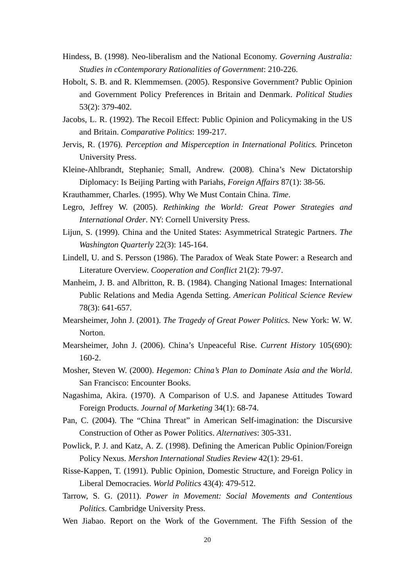- Hindess, B. (1998). Neo-liberalism and the National Economy. *Governing Australia: Studies in cContemporary Rationalities of Government*: 210-226.
- Hobolt, S. B. and R. Klemmemsen. (2005). Responsive Government? Public Opinion and Government Policy Preferences in Britain and Denmark. *Political Studies*  53(2): 379-402.
- Jacobs, L. R. (1992). The Recoil Effect: Public Opinion and Policymaking in the US and Britain. *Comparative Politics*: 199-217.
- Jervis, R. (1976). *Perception and Misperception in International Politics.* Princeton University Press.
- Kleine-Ahlbrandt, Stephanie; Small, Andrew. (2008). China's New Dictatorship Diplomacy: Is Beijing Parting with Pariahs, *Foreign Affairs* 87(1): 38-56.
- Krauthammer, Charles. (1995). Why We Must Contain China. *Time*.
- Legro, Jeffrey W. (2005). *Rethinking the World: Great Power Strategies and International Order*. NY: Cornell University Press.
- Lijun, S. (1999). China and the United States: Asymmetrical Strategic Partners. *The Washington Quarterly* 22(3): 145-164.
- Lindell, U. and S. Persson (1986). The Paradox of Weak State Power: a Research and Literature Overview. *Cooperation and Conflict* 21(2): 79-97.
- Manheim, J. B. and Albritton, R. B. (1984). Changing National Images: International Public Relations and Media Agenda Setting. *American Political Science Review* 78(3): 641-657.
- Mearsheimer, John J. (2001). *The Tragedy of Great Power Politics.* New York: W. W. Norton.
- Mearsheimer, John J. (2006). China's Unpeaceful Rise. *Current History* 105(690): 160-2.
- Mosher, Steven W. (2000). *Hegemon: China's Plan to Dominate Asia and the World*. San Francisco: Encounter Books.
- Nagashima, Akira. (1970). A Comparison of U.S. and Japanese Attitudes Toward Foreign Products. *Journal of Marketing* 34(1): 68-74.
- Pan, C. (2004). The "China Threat" in American Self-imagination: the Discursive Construction of Other as Power Politics. *Alternatives*: 305-331.
- Powlick, P. J. and Katz, A. Z. (1998). Defining the American Public Opinion/Foreign Policy Nexus. *Mershon International Studies Review* 42(1): 29-61.
- Risse-Kappen, T. (1991). Public Opinion, Domestic Structure, and Foreign Policy in Liberal Democracies. *World Politics* 43(4): 479-512.
- Tarrow, S. G. (2011). *Power in Movement: Social Movements and Contentious Politics.* Cambridge University Press.
- Wen Jiabao. Report on the Work of the Government. The Fifth Session of the